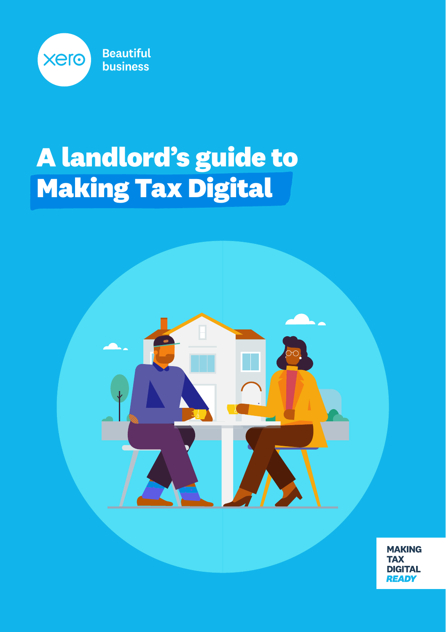

### **A landlord's guide to Making Tax Digital**



**MAKING TAX DIGITAL READY**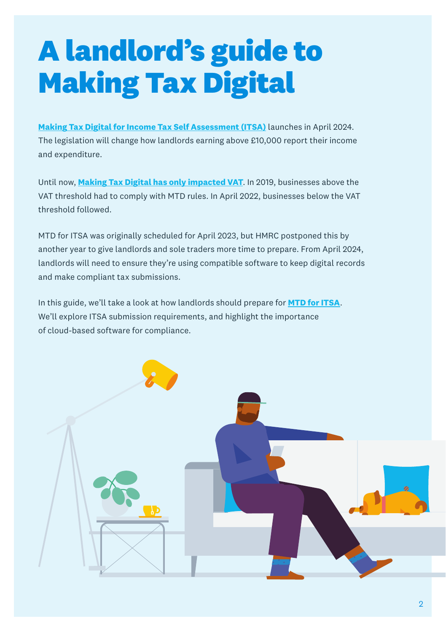## **A landlord's guide to Making Tax Digital**

**[Making Tax Digital for Income Tax Self Assessment \(ITSA\)](http://www.xero.com/uk/programme/making-tax-digital/income-tax-self-assessment/)** launches in April 2024. The legislation will change how landlords earning above £10,000 report their income and expenditure.

Until now, **[Making Tax Digital has only impacted VAT](https://www.xero.com/uk/programme/making-tax-digital/making-tax-digital-for-vat/)**. In 2019, businesses above the VAT threshold had to comply with MTD rules. In April 2022, businesses below the VAT threshold followed.

MTD for ITSA was originally scheduled for April 2023, but HMRC postponed this by another year to give landlords and sole traders more time to prepare. From April 2024, landlords will need to ensure they're using compatible software to keep digital records and make compliant tax submissions.

In this guide, we'll take a look at how landlords should prepare for **[MTD for ITSA](https://www.xero.com/uk/programme/making-tax-digital/making-tax-digital-for-the-self-employed/)**. We'll explore ITSA submission requirements, and highlight the importance of cloud-based software for compliance.

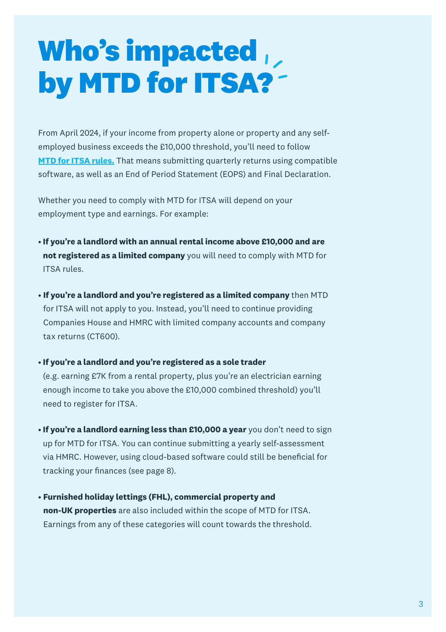### **Who's impacted by MTD for ITSA?**

From April 2024, if your income from property alone or property and any selfemployed business exceeds the £10,000 threshold, you'll need to follow **[MTD for ITSA rules.](https://www.xero.com/uk/programme/making-tax-digital/landlords-property-income/)** That means submitting quarterly returns using compatible software, as well as an End of Period Statement (EOPS) and Final Declaration.

Whether you need to comply with MTD for ITSA will depend on your employment type and earnings. For example:

- **If you're a landlord with an annual rental income above £10,000 and are not registered as a limited company** you will need to comply with MTD for ITSA rules.
- **If you're a landlord and you're registered as a limited company** then MTD for ITSA will not apply to you. Instead, you'll need to continue providing Companies House and HMRC with limited company accounts and company tax returns (CT600).

#### • **If you're a landlord and you're registered as a sole trader**

(e.g. earning £7K from a rental property, plus you're an electrician earning enough income to take you above the £10,000 combined threshold) you'll need to register for ITSA.

- **If you're a landlord earning less than £10,000 a year** you don't need to sign up for MTD for ITSA. You can continue submitting a yearly self-assessment via HMRC. However, using cloud-based software could still be beneficial for tracking your finances (see page 8).
- **Furnished holiday lettings (FHL), commercial property and non-UK properties** are also included within the scope of MTD for ITSA. Earnings from any of these categories will count towards the threshold.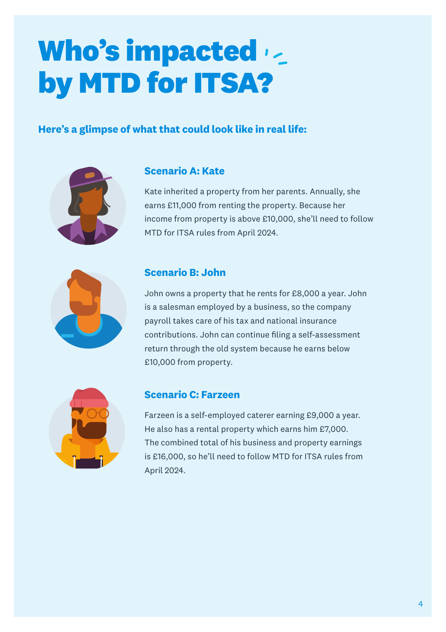## **Who's impacted by MTD for ITSA?**

#### **Here's a glimpse of what that could look like in real life:**



#### **Scenario A: Kate**

Kate inherited a property from her parents. Annually, she earns £11,000 from renting the property. Because her income from property is above £10,000, she'll need to follow MTD for ITSA rules from April 2024.

#### **Scenario B: John**

John owns a property that he rents for £8,000 a year. John is a salesman employed by a business, so the company payroll takes care of his tax and national insurance contributions. John can continue filing a self-assessment return through the old system because he earns below £10,000 from property.



#### **Scenario C: Farzeen**

Farzeen is a self-employed caterer earning £9,000 a year. He also has a rental property which earns him £7,000. The combined total of his business and property earnings is £16,000, so he'll need to follow MTD for ITSA rules from April 2024.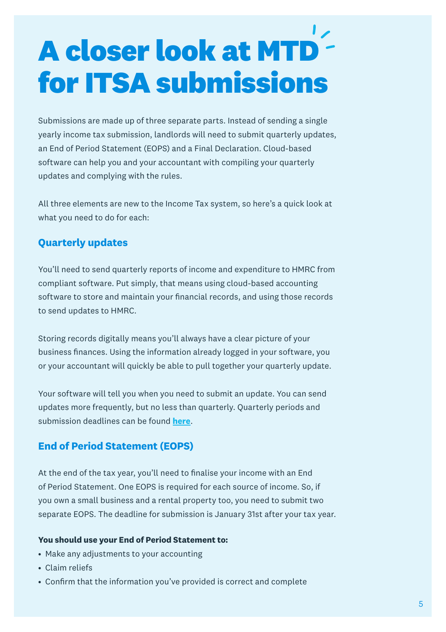# **A closer look at MTD for ITSA submissions**

Submissions are made up of three separate parts. Instead of sending a single yearly income tax submission, landlords will need to submit quarterly updates, an End of Period Statement (EOPS) and a Final Declaration. Cloud-based software can help you and your accountant with compiling your quarterly updates and complying with the rules.

All three elements are new to the Income Tax system, so here's a quick look at what you need to do for each:

#### **Quarterly updates**

You'll need to send quarterly reports of income and expenditure to HMRC from compliant software. Put simply, that means using cloud-based accounting software to store and maintain your financial records, and using those records to send updates to HMRC.

Storing records digitally means you'll always have a clear picture of your business finances. Using the information already logged in your software, you or your accountant will quickly be able to pull together your quarterly update.

Your software will tell you when you need to submit an update. You can send updates more frequently, but no less than quarterly. Quarterly periods and submission deadlines can be found **[here](https://www.gov.uk/guidance/using-making-tax-digital-for-income-tax)**.

#### **End of Period Statement (EOPS)**

At the end of the tax year, you'll need to finalise your income with an End of Period Statement. One EOPS is required for each source of income. So, if you own a small business and a rental property too, you need to submit two separate EOPS. The deadline for submission is January 31st after your tax year.

#### **You should use your End of Period Statement to:**

- Make any adjustments to your accounting
- Claim reliefs
- Confirm that the information you've provided is correct and complete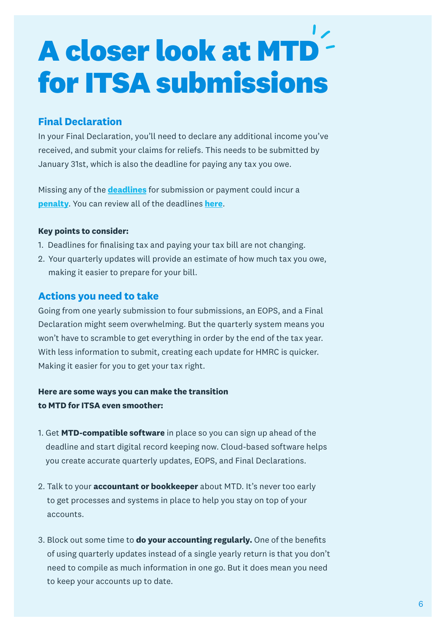# **A closer look at MTD for ITSA submissions**

#### **Final Declaration**

In your Final Declaration, you'll need to declare any additional income you've received, and submit your claims for reliefs. This needs to be submitted by January 31st, which is also the deadline for paying any tax you owe.

Missing any of the **[deadlines](https://www.xero.com/content/dam/xero/pdf/xero-making-tax-digital-deadlines.pdf)** for submission or payment could incur a **[penalty](https://www.xero.com/uk/programme/making-tax-digital/making-tax-digital-penalties/)**. You can review all of the deadlines **[here](https://www.gov.uk/guidance/using-making-tax-digital-for-income-tax)**.

#### **Key points to consider:**

- 1. Deadlines for finalising tax and paying your tax bill are not changing.
- 2. Your quarterly updates will provide an estimate of how much tax you owe, making it easier to prepare for your bill.

#### **Actions you need to take**

Going from one yearly submission to four submissions, an EOPS, and a Final Declaration might seem overwhelming. But the quarterly system means you won't have to scramble to get everything in order by the end of the tax year. With less information to submit, creating each update for HMRC is quicker. Making it easier for you to get your tax right.

#### **Here are some ways you can make the transition to MTD for ITSA even smoother:**

- 1. Get **MTD-compatible software** in place so you can sign up ahead of the deadline and start digital record keeping now. Cloud-based software helps you create accurate quarterly updates, EOPS, and Final Declarations.
- 2. Talk to your **accountant or bookkeeper** about MTD. It's never too early to get processes and systems in place to help you stay on top of your accounts.
- 3. Block out some time to **do your accounting regularly.** One of the benefits of using quarterly updates instead of a single yearly return is that you don't need to compile as much information in one go. But it does mean you need to keep your accounts up to date.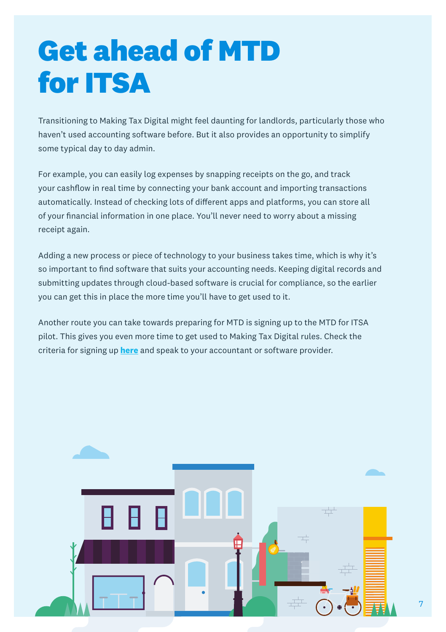### **Get ahead of MTD for ITSA**

Transitioning to Making Tax Digital might feel daunting for landlords, particularly those who haven't used accounting software before. But it also provides an opportunity to simplify some typical day to day admin.

For example, you can easily log expenses by snapping receipts on the go, and track your cashflow in real time by connecting your bank account and importing transactions automatically. Instead of checking lots of different apps and platforms, you can store all of your financial information in one place. You'll never need to worry about a missing receipt again.

Adding a new process or piece of technology to your business takes time, which is why it's so important to find software that suits your accounting needs. Keeping digital records and submitting updates through cloud-based software is crucial for compliance, so the earlier you can get this in place the more time you'll have to get used to it.

Another route you can take towards preparing for MTD is signing up to the MTD for ITSA pilot. This gives you even more time to get used to Making Tax Digital rules. Check the criteria for signing up **[here](https://www.gov.uk/guidance/using-making-tax-digital-for-income-tax#signing-up)** and speak to your accountant or software provider.

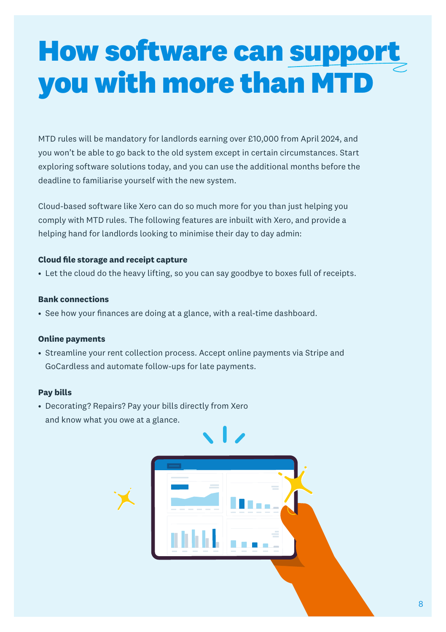### **How software can support you with more than MTD**

MTD rules will be mandatory for landlords earning over £10,000 from April 2024, and you won't be able to go back to the old system except in certain circumstances. Start exploring software solutions today, and you can use the additional months before the deadline to familiarise yourself with the new system.

Cloud-based software like Xero can do so much more for you than just helping you comply with MTD rules. The following features are inbuilt with Xero, and provide a helping hand for landlords looking to minimise their day to day admin:

#### **Cloud file storage and receipt capture**

• Let the cloud do the heavy lifting, so you can say goodbye to boxes full of receipts.

#### **Bank connections**

• See how your finances are doing at a glance, with a real-time dashboard.

#### **Online payments**

• Streamline your rent collection process. Accept online payments via Stripe and GoCardless and automate follow-ups for late payments.

#### **Pay bills**

• Decorating? Repairs? Pay your bills directly from Xero and know what you owe at a glance.

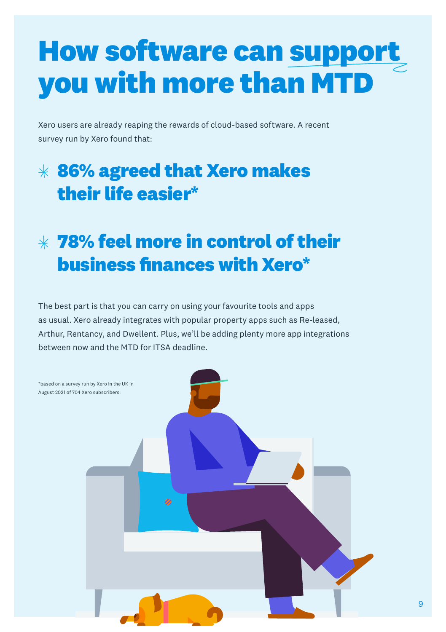### **How software can support you with more than MTD**

Xero users are already reaping the rewards of cloud-based software. A recent survey run by Xero found that:

### **86% agreed that Xero makes their life easier\***

### **78% feel more in control of their business finances with Xero\***

The best part is that you can carry on using your favourite tools and apps as usual. Xero already integrates with popular property apps such as Re-leased, Arthur, Rentancy, and Dwellent. Plus, we'll be adding plenty more app integrations between now and the MTD for ITSA deadline.



9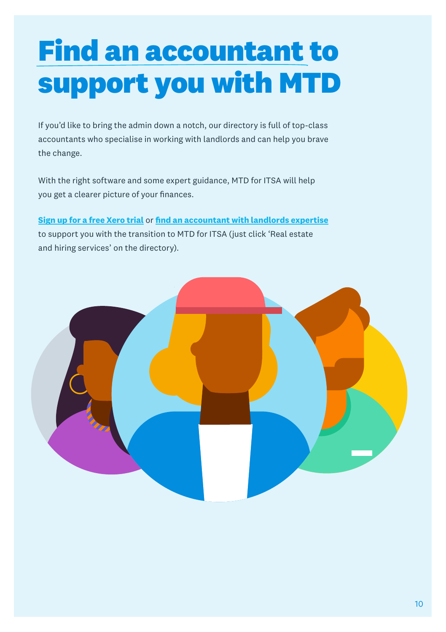## **Find an accountant to support you with MTD**

If you'd like to bring the admin down a notch, our directory is full of top-class accountants who specialise in working with landlords and can help you brave the change.

With the right software and some expert guidance, MTD for ITSA will help you get a clearer picture of your finances.

**[Sign up for a free Xero trial](https://www.xero.com/uk/signup/)** or **[find an accountant with landlords expertise](https://www.xero.com/uk/advisors/)** to support you with the transition to MTD for ITSA (just click 'Real estate and hiring services' on the directory).